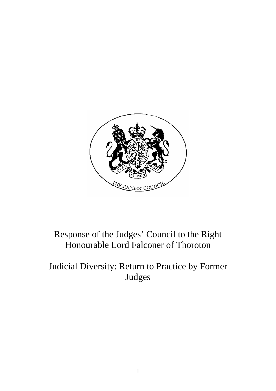

# Response of the Judges' Council to the Right Honourable Lord Falconer of Thoroton

## Judicial Diversity: Return to Practice by Former Judges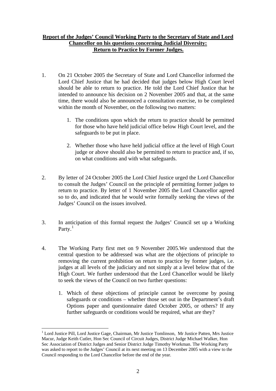### **Report of the Judges' Council Working Party to the Secretary of State and Lord Chancellor on his questions concerning Judicial Diversity: Return to Practice by Former Judges.**

- 1. On 21 October 2005 the Secretary of State and Lord Chancellor informed the Lord Chief Justice that he had decided that judges below High Court level should be able to return to practice. He told the Lord Chief Justice that he intended to announce his decision on 2 November 2005 and that, at the same time, there would also be announced a consultation exercise, to be completed within the month of November, on the following two matters:
	- 1. The conditions upon which the return to practice should be permitted for those who have held judicial office below High Court level, and the safeguards to be put in place.
	- 2. Whether those who have held judicial office at the level of High Court judge or above should also be permitted to return to practice and, if so, on what conditions and with what safeguards.
- 2. By letter of 24 October 2005 the Lord Chief Justice urged the Lord Chancellor to consult the Judges' Council on the principle of permitting former judges to return to practice. By letter of 1 November 2005 the Lord Chancellor agreed so to do, and indicated that he would write formally seeking the views of the Judges' Council on the issues involved.
- 3. In anticipation of this formal request the Judges' Council set up a Working Party. $^{1}$  $^{1}$  $^{1}$
- 4. The Working Party first met on 9 November 2005.We understood that the central question to be addressed was what are the objections of principle to removing the current prohibition on return to practice by former judges, i.e. judges at all levels of the judiciary and not simply at a level below that of the High Court. We further understood that the Lord Chancellor would be likely to seek the views of the Council on two further questions:
	- 1. Which of these objections of principle cannot be overcome by posing safeguards or conditions – whether those set out in the Department's draft Options paper and questionnaire dated October 2005, or others? If any further safeguards or conditions would be required, what are they?

<u>.</u>

<span id="page-1-0"></span><sup>&</sup>lt;sup>1</sup> Lord Justice Pill, Lord Justice Gage, Chairman, Mr Justice Tomlinson, Mr Justice Patten, Mrs Justice Macur, Judge Keith Cutler, Hon Sec Council of Circuit Judges, District Judge Michael Walker, Hon Sec Association of District Judges and Senior District Judge Timothy Workman. The Working Party was asked to report to the Judges' Council at its next meeting on 13 December 2005 with a view to the Council responding to the Lord Chancellor before the end of the year.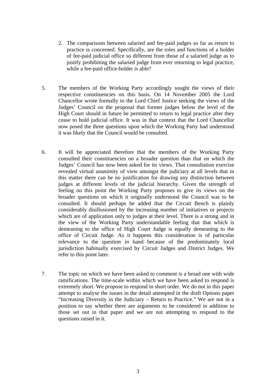- 2. The comparisons between salaried and fee-paid judges so far as return to practice is concerned. Specifically, are the roles and functions of a holder of fee-paid judicial office so different from those of a salaried judge as to justify prohibiting the salaried judge from ever returning to legal practice, while a fee-paid office-holder is able?
- 5. The members of the Working Party accordingly sought the views of their respective constituencies on this basis. On 14 November 2005 the Lord Chancellor wrote formally to the Lord Chief Justice seeking the views of the Judges' Council on the proposal that former judges below the level of the High Court should in future be permitted to return to legal practice after they cease to hold judicial office. It was in that context that the Lord Chancellor now posed the three questions upon which the Working Party had understood it was likely that the Council would be consulted.
- 6. It will be appreciated therefore that the members of the Working Party consulted their constituencies on a broader question than that on which the Judges' Council has now been asked for its views. That consultation exercise revealed virtual unanimity of view amongst the judiciary at all levels that in this matter there can be no justification for drawing any distinction between judges at different levels of the judicial hierarchy. Given the strength of feeling on this point the Working Party proposes to give its views on the broader questions on which it originally understood the Council was to be consulted. It should perhaps be added that the Circuit Bench is plainly considerably disillusioned by the increasing number of initiatives or projects which are of application only to judges at their level. There is a strong and in the view of the Working Party understandable feeling that that which is demeaning to the office of High Court Judge is equally demeaning to the office of Circuit Judge. As it happens this consideration is of particular relevance to the question in hand because of the predominately local jurisdiction habitually exercised by Circuit Judges and District Judges. We refer to this point later.
- 7. The topic on which we have been asked to comment is a broad one with wide ramifications. The time-scale within which we have been asked to respond is extremely short. We propose to respond in short order. We do not in this paper attempt to analyse the issues in the detail attempted in the draft Options paper "Increasing Diversity in the Judiciary – Return to Practice." We are not in a position to say whether there are arguments to be considered in addition to those set out in that paper and we are not attempting to respond to the questions raised in it.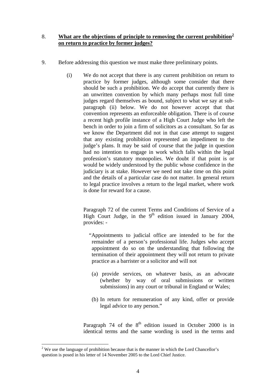#### 8. **What are the objections of principle to removing the current prohibition[2](#page-3-0) on return to practice by former judges?**

- 9. Before addressing this question we must make three preliminary points.
	- (i) We do not accept that there is any current prohibition on return to practice by former judges, although some consider that there should be such a prohibition. We do accept that currently there is an unwritten convention by which many perhaps most full time judges regard themselves as bound, subject to what we say at subparagraph (ii) below. We do not however accept that that convention represents an enforceable obligation. There is of course a recent high profile instance of a High Court Judge who left the bench in order to join a firm of solicitors as a consultant. So far as we know the Department did not in that case attempt to suggest that any existing prohibition represented an impediment to the judge's plans. It may be said of course that the judge in question had no intention to engage in work which falls within the legal profession's statutory monopolies. We doubt if that point is or would be widely understood by the public whose confidence in the judiciary is at stake. However we need not take time on this point and the details of a particular case do not matter. In general return to legal practice involves a return to the legal market, where work is done for reward for a cause.

Paragraph 72 of the current Terms and Conditions of Service of a High Court Judge, in the  $9<sup>th</sup>$  edition issued in January 2004, provides: -

- "Appointments to judicial office are intended to be for the remainder of a person's professional life. Judges who accept appointment do so on the understanding that following the termination of their appointment they will not return to private practice as a barrister or a solicitor and will not
	- (a) provide services, on whatever basis, as an advocate (whether by way of oral submissions or written submissions) in any court or tribunal in England or Wales;
- (b) In return for remuneration of any kind, offer or provide legal advice to any person."

Paragraph 74 of the  $8<sup>th</sup>$  edition issued in October 2000 is in identical terms and the same wording is used in the terms and

<span id="page-3-0"></span><sup>&</sup>lt;u>.</u> <sup>2</sup> We use the language of prohibition because that is the manner in which the Lord Chancellor's question is posed in his letter of 14 November 2005 to the Lord Chief Justice.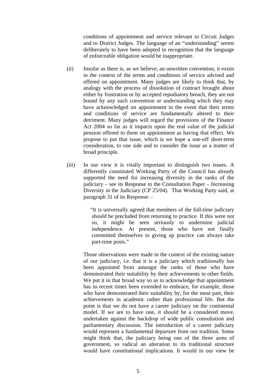conditions of appointment and service relevant to Circuit Judges and to District Judges. The language of an "understanding" seems deliberately to have been adopted in recognition that the language of enforceable obligation would be inappropriate.

- (ii) Insofar as there is, as we believe, an unwritten convention, it exists in the context of the terms and conditions of service advised and offered on appointment. Many judges are likely to think that, by analogy with the process of dissolution of contract brought about either by frustration or by accepted repudiatory breach, they are not bound by any such convention or understanding which they may have acknowledged on appointment in the event that their terms and conditions of service are fundamentally altered to their detriment. Many judges will regard the provisions of the Finance Act 2004 so far as it impacts upon the real value of the judicial pension offered to them on appointment as having that effect. We propose to put that issue, which is we hope a one-off short-term consideration, to one side and to consider the issue as a matter of broad principle.
- (iii) In our view it is vitally important to distinguish two issues. A differently constituted Working Party of the Council has already supported the need for increasing diversity in the ranks of the judiciary – see its Response to the Consultation Paper – Increasing Diversity in the Judiciary (CP 25/04). That Working Party said, at paragraph 31 of its Response: -

 "It is universally agreed that members of the full-time judiciary should be precluded from returning to practice. If this were not so, it might be seen seriously to undermine judicial independence. At present, those who have not finally committed themselves to giving up practice can always take part-time posts."

Those observations were made in the context of the existing nature of our judiciary, i.e. that it is a judiciary which traditionally has been appointed from amongst the ranks of those who have demonstrated their suitability by their achievements in other fields. We put it in that broad way so as to acknowledge that appointment has in recent times been extended to embrace, for example, those who have demonstrated their suitability by, for the most part, their achievements in academic rather than professional life. But the point is that we do not have a career judiciary on the continental model. If we are to have one, it should be a considered move, undertaken against the backdrop of wide public consultation and parliamentary discussion. The introduction of a career judiciary would represent a fundamental departure from our tradition. Some might think that, the judiciary being one of the three arms of government, so radical an alteration to its traditional structure would have constitutional implications. It would in our view be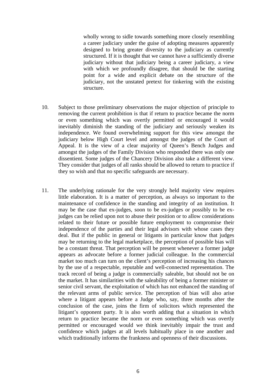wholly wrong to sidle towards something more closely resembling a career judiciary under the guise of adopting measures apparently designed to bring greater diversity to the judiciary as currently structured. If it is thought that we cannot have a sufficiently diverse judiciary without that judiciary being a career judiciary, a view with which we profoundly disagree, that should be the starting point for a wide and explicit debate on the structure of the judiciary, not the unstated pretext for tinkering with the existing structure.

- 10. Subject to those preliminary observations the major objection of principle to removing the current prohibition is that if return to practice became the norm or even something which was overtly permitted or encouraged it would inevitably diminish the standing of the judiciary and seriously weaken its independence. We found overwhelming support for this view amongst the judiciary below High Court level and amongst the judges of the Court of Appeal. It is the view of a clear majority of Queen's Bench Judges and amongst the judges of the Family Division who responded there was only one dissentient. Some judges of the Chancery Division also take a different view. They consider that judges of all ranks should be allowed to return to practice if they so wish and that no specific safeguards are necessary.
- 11. The underlying rationale for the very strongly held majority view requires little elaboration. It is a matter of perception, as always so important to the maintenance of confidence in the standing and integrity of an institution. It may be the case that ex-judges, soon to be ex-judges or possibly to be exjudges can be relied upon not to abuse their position or to allow considerations related to their future or possible future employment to compromise their independence of the parties and their legal advisors with whose cases they deal. But if the public in general or litigants in particular know that judges may be returning to the legal marketplace, the perception of possible bias will be a constant threat. That perception will be present whenever a former judge appears as advocate before a former judicial colleague. In the commercial market too much can turn on the client's perception of increasing his chances by the use of a respectable, reputable and well-connected representation. The track record of being a judge is commercially saleable, but should not be on the market. It has similarities with the saleability of being a former minister or senior civil servant, the exploitation of which has not enhanced the standing of the relevant arms of public service. The perception of bias will also arise where a litigant appears before a Judge who, say, three months after the conclusion of the case, joins the firm of solicitors which represented the litigant's opponent party. It is also worth adding that a situation in which return to practice became the norm or even something which was overtly permitted or encouraged would we think inevitably impair the trust and confidence which judges at all levels habitually place in one another and which traditionally informs the frankness and openness of their discussions.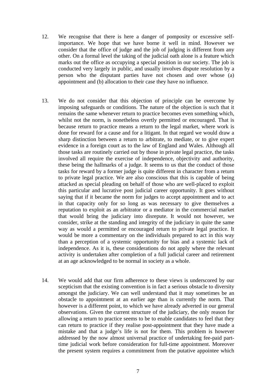- 12. We recognise that there is here a danger of pomposity or excessive selfimportance. We hope that we have borne it well in mind. However we consider that the office of judge and the job of judging is different from any other. On a formal level the taking of the judicial oath alone is a feature which marks out the office as occupying a special position in our society. The job is conducted very largely in public, and usually involves dispute resolution by a person who the disputant parties have not chosen and over whose (a) appointment and (b) allocation to their case they have no influence.
- 13. We do not consider that this objection of principle can be overcome by imposing safeguards or conditions. The nature of the objection is such that it remains the same whenever return to practice becomes even something which, whilst not the norm, is nonetheless overtly permitted or encouraged. That is because return to practice means a return to the legal market, where work is done for reward for a cause and for a litigant. In that regard we would draw a sharp distinction between a return to arbitrate, to mediate, or to give expert evidence in a foreign court as to the law of England and Wales. Although all those tasks are routinely carried out by those in private legal practice, the tasks involved all require the exercise of independence, objectivity and authority, these being the hallmarks of a judge. It seems to us that the conduct of those tasks for reward by a former judge is quite different in character from a return to private legal practice. We are also conscious that this is capable of being attacked as special pleading on behalf of those who are well-placed to exploit this particular and lucrative post judicial career opportunity. It goes without saying that if it became the norm for judges to accept appointment and to act in that capacity only for so long as was necessary to give themselves a reputation to exploit as an arbitrator or a mediator in the commercial market that would bring the judiciary into disrepute. It would not however, we consider, strike at the standing and integrity of the judiciary in quite the same way as would a permitted or encouraged return to private legal practice. It would be more a commentary on the individuals prepared to act in this way than a perception of a systemic opportunity for bias and a systemic lack of independence. As it is, these considerations do not apply where the relevant activity is undertaken after completion of a full judicial career and retirement at an age acknowledged to be normal in society as a whole.
- 14. We would add that our firm adherence to these views is underscored by our scepticism that the existing convention is in fact a serious obstacle to diversity amongst the judiciary. We can well understand that it may sometimes be an obstacle to appointment at an earlier age than is currently the norm. That however is a different point, to which we have already adverted in our general observations. Given the current structure of the judiciary, the only reason for allowing a return to practice seems to be to enable candidates to feel that they can return to practice if they realise post-appointment that they have made a mistake and that a judge's life is not for them. This problem is however addressed by the now almost universal practice of undertaking fee-paid parttime judicial work before consideration for full-time appointment. Moreover the present system requires a commitment from the putative appointee which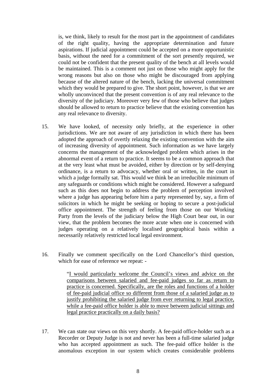is, we think, likely to result for the most part in the appointment of candidates of the right quality, having the appropriate determination and future aspirations. If judicial appointment could be accepted on a more opportunistic basis, without the need for a commitment of the sort presently required, we could not be confident that the present quality of the bench at all levels would be maintained. This is a comment not just on those who might apply for the wrong reasons but also on those who might be discouraged from applying because of the altered nature of the bench, lacking the universal commitment which they would be prepared to give. The short point, however, is that we are wholly unconvinced that the present convention is of any real relevance to the diversity of the judiciary. Moreover very few of those who believe that judges should be allowed to return to practice believe that the existing convention has any real relevance to diversity.

- 15. We have looked, of necessity only briefly, at the experience in other jurisdictions. We are not aware of any jurisdiction in which there has been adopted the approach of overtly relaxing the existing convention with the aim of increasing diversity of appointment. Such information as we have largely concerns the management of the acknowledged problem which arises in the abnormal event of a return to practice. It seems to be a common approach that at the very least what must be avoided, either by direction or by self-denying ordinance, is a return to advocacy, whether oral or written, in the court in which a judge formally sat. This would we think be an irreducible minimum of any safeguards or conditions which might be considered. However a safeguard such as this does not begin to address the problem of perception involved where a judge has appearing before him a party represented by, say, a firm of solicitors in which he might be seeking or hoping to secure a post-judicial office appointment. The strength of feeling from those on our Working Party from the levels of the judiciary below the High Court bear out, in our view, that the problem becomes the more acute when one is concerned with judges operating on a relatively localised geographical basis within a necessarily relatively restricted local legal environment.
- 16. Finally we comment specifically on the Lord Chancellor's third question, which for ease of reference we repeat: -

 "I would particularly welcome the Council's views and advice on the comparisons between salaried and fee-paid judges so far as return to practice is concerned. Specifically, are the roles and functions of a holder of fee-paid judicial office so different from those of a salaried judge as to justify prohibiting the salaried judge from ever returning to legal practice, while a fee-paid office holder is able to move between judicial sittings and legal practice practically on a daily basis?

17. We can state our views on this very shortly. A fee-paid office-holder such as a Recorder or Deputy Judge is not and never has been a full-time salaried judge who has accepted appointment as such. The fee-paid office holder is the anomalous exception in our system which creates considerable problems